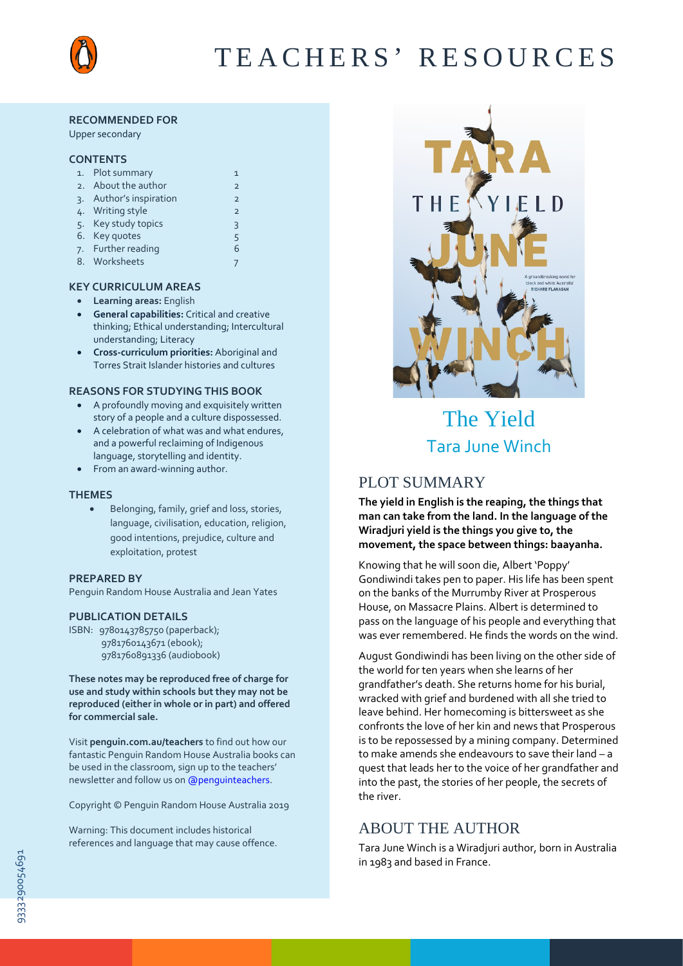

# TEACHERS' RESOURCES

#### **RECOMMENDED FOR**

Upper secondary

#### **CONTENTS**

|                 | 1. Plot summary      |                |
|-----------------|----------------------|----------------|
|                 | 2. About the author  | $\overline{2}$ |
| $\mathcal{R}$ . | Author's inspiration | $\overline{2}$ |
|                 | 4. Writing style     | $\overline{2}$ |
|                 | 5. Key study topics  | 3              |
|                 | 6. Key quotes        | 5              |
|                 | 7. Further reading   | 6              |
|                 | 8. Worksheets        |                |

## **KEY CURRICULUM AREAS**

- **Learning areas:** English
- **General capabilities:** Critical and creative thinking; Ethical understanding; Intercultural understanding; Literacy
- **Cross-curriculum priorities:** Aboriginal and Torres Strait Islander histories and cultures

#### **REASONS FOR STUDYING THIS BOOK**

- A profoundly moving and exquisitely written story of a people and a culture dispossessed.
- A celebration of what was and what endures, and a powerful reclaiming of Indigenous language, storytelling and identity.
- From an award-winning author.

#### **THEMES**

• Belonging, family, grief and loss, stories, language, civilisation, education, religion, good intentions, prejudice, culture and exploitation, protest

#### **PREPARED BY**

Penguin Random House Australia and Jean Yates

#### **PUBLICATION DETAILS**

ISBN: 9780143785750 (paperback); 9781760143671 (ebook); 9781760891336 (audiobook)

**These notes may be reproduced free of charge for use and study within schools but they may not be reproduced (either in whole or in part) and offered for commercial sale.**

Visit **[penguin.com.au/teachers](http://www.penguin.com.au/teachers)** to find out how our fantastic Penguin Random House Australia books can be used in the classroom, sign up to the teachers' newsletter and follow us [on @penguinteachers.](http://twitter.com/penguinteachers)

Copyright © Penguin Random House Australia 2019

Warning: This document includes historical references and language that may cause offence.



# The Yield Tara June Winch

# PLOT SUMMARY

**The yield in English is the reaping, the things that man can take from the land. In the language of the Wiradjuri yield is the things you give to, the movement, the space between things: baayanha.**

Knowing that he will soon die, Albert 'Poppy' Gondiwindi takes pen to paper. His life has been spent on the banks of the Murrumby River at Prosperous House, on Massacre Plains. Albert is determined to pass on the language of his people and everything that was ever remembered. He finds the words on the wind.

August Gondiwindi has been living on the other side of the world for ten years when she learns of her grandfather's death. She returns home for his burial, wracked with grief and burdened with all she tried to leave behind. Her homecoming is bittersweet as she confronts the love of her kin and news that Prosperous is to be repossessed by a mining company. Determined to make amends she endeavours to save their land – a quest that leads her to the voice of her grandfather and into the past, the stories of her people, the secrets of the river.

# ABOUT THE AUTHOR

Tara June Winch is a Wiradjuri author, born in Australia in 1983 and based in France.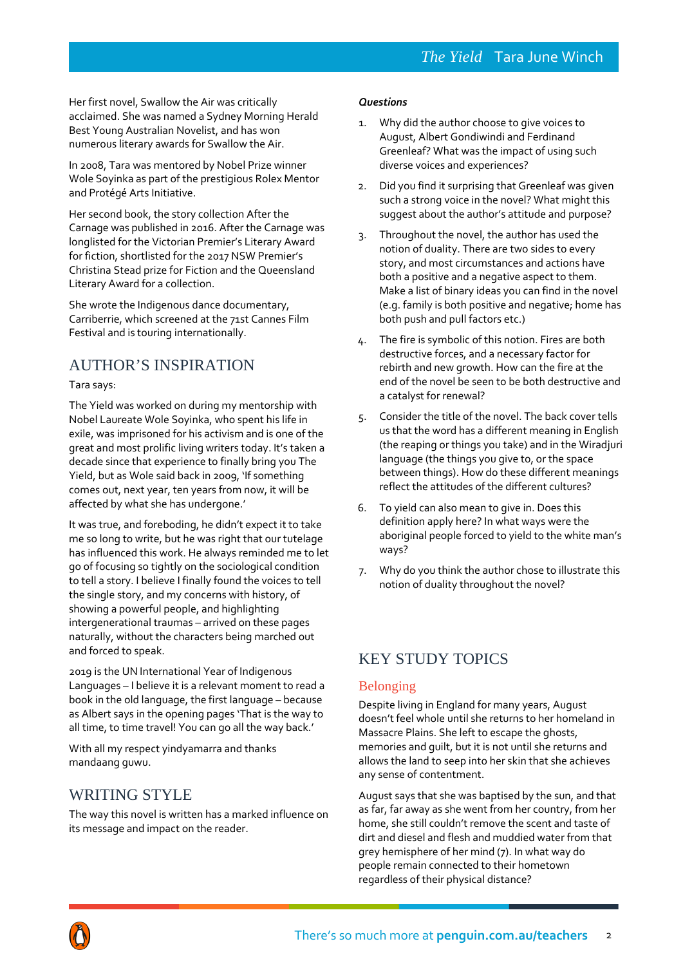Her first novel, Swallow the Air was critically acclaimed. She was named a Sydney Morning Herald Best Young Australian Novelist, and has won numerous literary awards for Swallow the Air.

In 2008, Tara was mentored by Nobel Prize winner Wole Soyinka as part of the prestigious Rolex Mentor and Protégé Arts Initiative.

Her second book, the story collection After the Carnage was published in 2016. After the Carnage was longlisted for the Victorian Premier's Literary Award for fiction, shortlisted for the 2017 NSW Premier's Christina Stead prize for Fiction and the Queensland Literary Award for a collection.

She wrote the Indigenous dance documentary, Carriberrie, which screened at the 71st Cannes Film Festival and is touring internationally.

# AUTHOR'S INSPIRATION

## Tara says:

The Yield was worked on during my mentorship with Nobel Laureate Wole Soyinka, who spent his life in exile, was imprisoned for his activism and is one of the great and most prolific living writers today. It's taken a decade since that experience to finally bring you The Yield, but as Wole said back in 2009, 'If something comes out, next year, ten years from now, it will be affected by what she has undergone.'

It was true, and foreboding, he didn't expect it to take me so long to write, but he was right that our tutelage has influenced this work. He always reminded me to let go of focusing so tightly on the sociological condition to tell a story. I believe I finally found the voices to tell the single story, and my concerns with history, of showing a powerful people, and highlighting intergenerational traumas – arrived on these pages naturally, without the characters being marched out and forced to speak.

2019 is the UN International Year of Indigenous Languages – I believe it is a relevant moment to read a book in the old language, the first language – because as Albert says in the opening pages 'That is the way to all time, to time travel! You can go all the way back.'

With all my respect yindyamarra and thanks mandaang guwu.

# WRITING STYLE

The way this novel is written has a marked influence on its message and impact on the reader.

#### *Questions*

- 1. Why did the author choose to give voices to August, Albert Gondiwindi and Ferdinand Greenleaf? What was the impact of using such diverse voices and experiences?
- 2. Did you find it surprising that Greenleaf was given such a strong voice in the novel? What might this suggest about the author's attitude and purpose?
- 3. Throughout the novel, the author has used the notion of duality. There are two sides to every story, and most circumstances and actions have both a positive and a negative aspect to them. Make a list of binary ideas you can find in the novel (e.g. family is both positive and negative; home has both push and pull factors etc.)
- 4. The fire is symbolic of this notion. Fires are both destructive forces, and a necessary factor for rebirth and new growth. How can the fire at the end of the novel be seen to be both destructive and a catalyst for renewal?
- 5. Consider the title of the novel. The back cover tells us that the word has a different meaning in English (the reaping or things you take) and in the Wiradjuri language (the things you give to, or the space between things). How do these different meanings reflect the attitudes of the different cultures?
- 6. To yield can also mean to give in. Does this definition apply here? In what ways were the aboriginal people forced to yield to the white man's ways?
- 7. Why do you think the author chose to illustrate this notion of duality throughout the novel?

# KEY STUDY TOPICS

## Belonging

Despite living in England for many years, August doesn't feel whole until she returns to her homeland in Massacre Plains. She left to escape the ghosts, memories and guilt, but it is not until she returns and allows the land to seep into her skin that she achieves any sense of contentment.

August says that she was baptised by the sun, and that as far, far away as she went from her country, from her home, she still couldn't remove the scent and taste of dirt and diesel and flesh and muddied water from that grey hemisphere of her mind (7). In what way do people remain connected to their hometown regardless of their physical distance?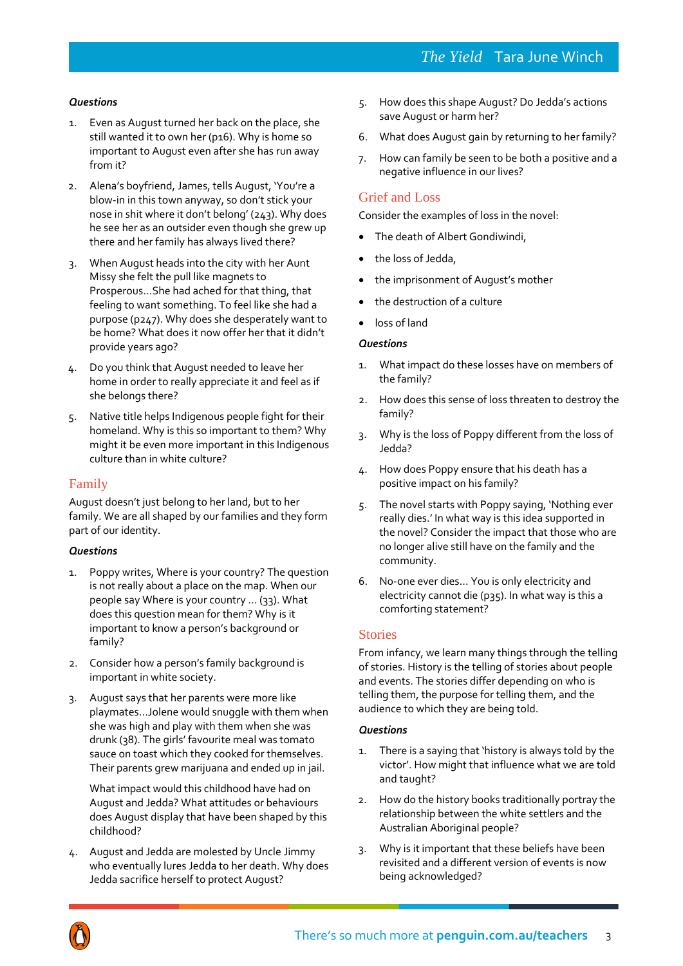# *Questions*

- 1. Even as August turned her back on the place, she still wanted it to own her (p16). Why is home so important to August even after she has run away from it?
- 2. Alena's boyfriend, James, tells August, 'You're a blow-in in this town anyway, so don't stick your nose in shit where it don't belong' (243). Why does he see her as an outsider even though she grew up there and her family has always lived there?
- 3. When August heads into the city with her Aunt Missy she felt the pull like magnets to Prosperous…She had ached for that thing, that feeling to want something. To feel like she had a purpose (p247). Why does she desperately want to be home? What does it now offer her that it didn't provide years ago?
- 4. Do you think that August needed to leave her home in order to really appreciate it and feel as if she belongs there?
- 5. Native title helps Indigenous people fight for their homeland. Why is this so important to them? Why might it be even more important in this Indigenous culture than in white culture?

## Family

August doesn't just belong to her land, but to her family. We are all shaped by our families and they form part of our identity.

## *Questions*

- 1. Poppy writes, Where is your country? The question is not really about a place on the map. When our people say Where is your country … (33). What does this question mean for them? Why is it important to know a person's background or family?
- 2. Consider how a person's family background is important in white society.
- 3. August says that her parents were more like playmates…Jolene would snuggle with them when she was high and play with them when she was drunk (38). The girls' favourite meal was tomato sauce on toast which they cooked for themselves. Their parents grew marijuana and ended up in jail.

What impact would this childhood have had on August and Jedda? What attitudes or behaviours does August display that have been shaped by this childhood?

4. August and Jedda are molested by Uncle Jimmy who eventually lures Jedda to her death. Why does Jedda sacrifice herself to protect August?

- 5. How does this shape August? Do Jedda's actions save August or harm her?
- 6. What does August gain by returning to her family?
- 7. How can family be seen to be both a positive and a negative influence in our lives?

## Grief and Loss

Consider the examples of loss in the novel:

- The death of Albert Gondiwindi,
- the loss of Jedda,
- the imprisonment of August's mother
- the destruction of a culture
- loss of land

#### *Questions*

- 1. What impact do these losses have on members of the family?
- 2. How does this sense of loss threaten to destroy the family?
- 3. Why is the loss of Poppy different from the loss of Jedda?
- 4. How does Poppy ensure that his death has a positive impact on his family?
- 5. The novel starts with Poppy saying, 'Nothing ever really dies.' In what way is this idea supported in the novel? Consider the impact that those who are no longer alive still have on the family and the community.
- 6. No-one ever dies… You is only electricity and electricity cannot die (p35). In what way is this a comforting statement?

## Stories

From infancy, we learn many things through the telling of stories. History is the telling of stories about people and events. The stories differ depending on who is telling them, the purpose for telling them, and the audience to which they are being told.

- 1. There is a saying that 'history is always told by the victor'. How might that influence what we are told and taught?
- 2. How do the history books traditionally portray the relationship between the white settlers and the Australian Aboriginal people?
- 3. Why is it important that these beliefs have been revisited and a different version of events is now being acknowledged?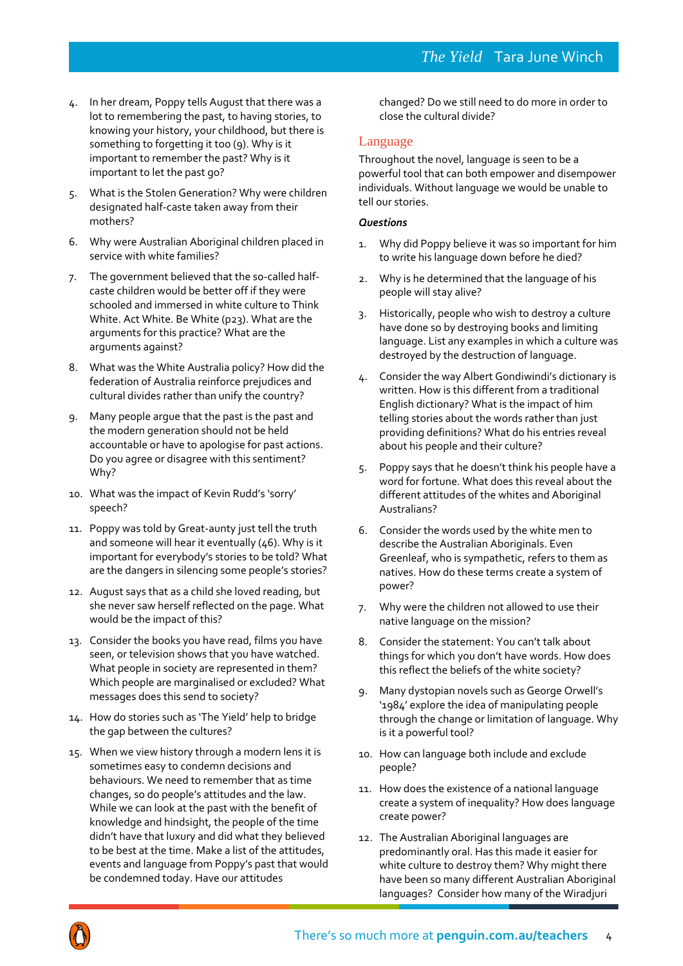- 4. In her dream, Poppy tells August that there was a lot to remembering the past, to having stories, to knowing your history, your childhood, but there is something to forgetting it too (9). Why is it important to remember the past? Why is it important to let the past go?
- 5. What is the Stolen Generation? Why were children designated half-caste taken away from their mothers?
- 6. Why were Australian Aboriginal children placed in service with white families?
- 7. The government believed that the so-called halfcaste children would be better off if they were schooled and immersed in white culture to Think White. Act White. Be White (p23). What are the arguments for this practice? What are the arguments against?
- 8. What was the White Australia policy? How did the federation of Australia reinforce prejudices and cultural divides rather than unify the country?
- 9. Many people argue that the past is the past and the modern generation should not be held accountable or have to apologise for past actions. Do you agree or disagree with this sentiment? Why?
- 10. What was the impact of Kevin Rudd's 'sorry' speech?
- 11. Poppy was told by Great-aunty just tell the truth and someone will hear it eventually (46). Why is it important for everybody's stories to be told? What are the dangers in silencing some people's stories?
- 12. August says that as a child she loved reading, but she never saw herself reflected on the page. What would be the impact of this?
- 13. Consider the books you have read, films you have seen, or television shows that you have watched. What people in society are represented in them? Which people are marginalised or excluded? What messages does this send to society?
- 14. How do stories such as 'The Yield' help to bridge the gap between the cultures?
- 15. When we view history through a modern lens it is sometimes easy to condemn decisions and behaviours. We need to remember that as time changes, so do people's attitudes and the law. While we can look at the past with the benefit of knowledge and hindsight, the people of the time didn't have that luxury and did what they believed to be best at the time. Make a list of the attitudes, events and language from Poppy's past that would be condemned today. Have our attitudes

changed? Do we still need to do more in order to close the cultural divide?

## Language

Throughout the novel, language is seen to be a powerful tool that can both empower and disempower individuals. Without language we would be unable to tell our stories.

- 1. Why did Poppy believe it was so important for him to write his language down before he died?
- 2. Why is he determined that the language of his people will stay alive?
- 3. Historically, people who wish to destroy a culture have done so by destroying books and limiting language. List any examples in which a culture was destroyed by the destruction of language.
- 4. Consider the way Albert Gondiwindi's dictionary is written. How is this different from a traditional English dictionary? What is the impact of him telling stories about the words rather than just providing definitions? What do his entries reveal about his people and their culture?
- 5. Poppy says that he doesn't think his people have a word for fortune. What does this reveal about the different attitudes of the whites and Aboriginal Australians?
- 6. Consider the words used by the white men to describe the Australian Aboriginals. Even Greenleaf, who is sympathetic, refers to them as natives. How do these terms create a system of power?
- 7. Why were the children not allowed to use their native language on the mission?
- 8. Consider the statement: You can't talk about things for which you don't have words. How does this reflect the beliefs of the white society?
- 9. Many dystopian novels such as George Orwell's '1984' explore the idea of manipulating people through the change or limitation of language. Why is it a powerful tool?
- 10. How can language both include and exclude people?
- 11. How does the existence of a national language create a system of inequality? How does language create power?
- 12. The Australian Aboriginal languages are predominantly oral. Has this made it easier for white culture to destroy them? Why might there have been so many different Australian Aboriginal languages? Consider how many of the Wiradjuri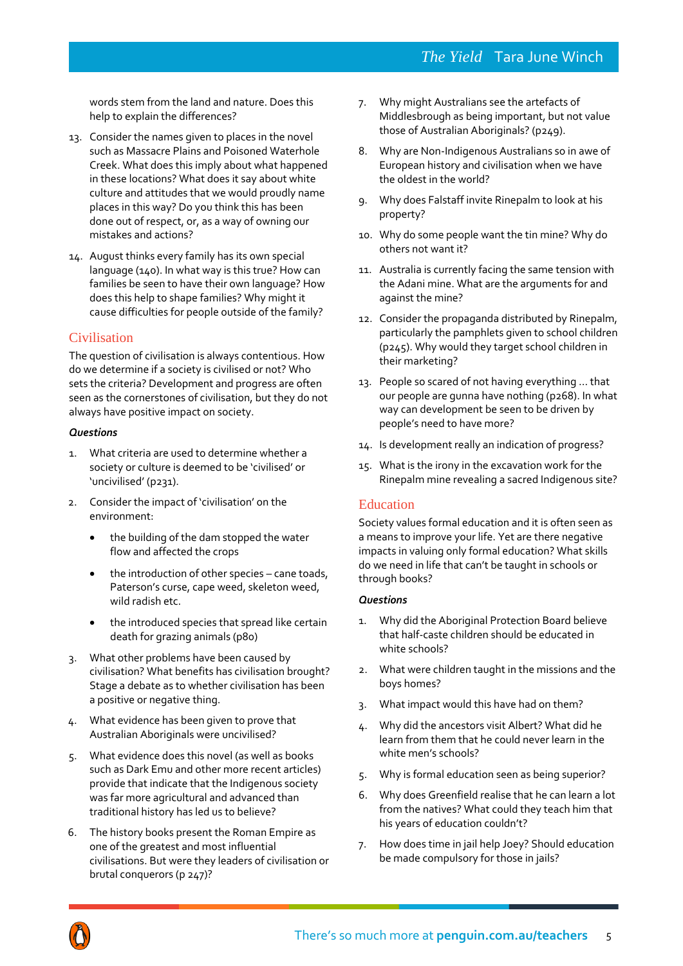words stem from the land and nature. Does this help to explain the differences?

- 13. Consider the names given to places in the novel such as Massacre Plains and Poisoned Waterhole Creek. What does this imply about what happened in these locations? What does it say about white culture and attitudes that we would proudly name places in this way? Do you think this has been done out of respect, or, as a way of owning our mistakes and actions?
- 14. August thinks every family has its own special language (140). In what way is this true? How can families be seen to have their own language? How does this help to shape families? Why might it cause difficulties for people outside of the family?

# Civilisation

The question of civilisation is always contentious. How do we determine if a society is civilised or not? Who sets the criteria? Development and progress are often seen as the cornerstones of civilisation, but they do not always have positive impact on society.

# *Questions*

- 1. What criteria are used to determine whether a society or culture is deemed to be 'civilised' or 'uncivilised' (p231).
- 2. Consider the impact of 'civilisation' on the environment:
	- the building of the dam stopped the water flow and affected the crops
	- the introduction of other species cane toads, Paterson's curse, cape weed, skeleton weed, wild radish etc.
	- the introduced species that spread like certain death for grazing animals (p80)
- 3. What other problems have been caused by civilisation? What benefits has civilisation brought? Stage a debate as to whether civilisation has been a positive or negative thing.
- 4. What evidence has been given to prove that Australian Aboriginals were uncivilised?
- 5. What evidence does this novel (as well as books such as Dark Emu and other more recent articles) provide that indicate that the Indigenous society was far more agricultural and advanced than traditional history has led us to believe?
- 6. The history books present the Roman Empire as one of the greatest and most influential civilisations. But were they leaders of civilisation or brutal conquerors (p 247)?
- 7. Why might Australians see the artefacts of Middlesbrough as being important, but not value those of Australian Aboriginals? (p249).
- 8. Why are Non-Indigenous Australians so in awe of European history and civilisation when we have the oldest in the world?
- 9. Why does Falstaff invite Rinepalm to look at his property?
- 10. Why do some people want the tin mine? Why do others not want it?
- 11. Australia is currently facing the same tension with the Adani mine. What are the arguments for and against the mine?
- 12. Consider the propaganda distributed by Rinepalm, particularly the pamphlets given to school children (p245). Why would they target school children in their marketing?
- 13. People so scared of not having everything … that our people are gunna have nothing (p268). In what way can development be seen to be driven by people's need to have more?
- 14. Is development really an indication of progress?
- 15. What is the irony in the excavation work for the Rinepalm mine revealing a sacred Indigenous site?

# Education

Society values formal education and it is often seen as a means to improve your life. Yet are there negative impacts in valuing only formal education? What skills do we need in life that can't be taught in schools or through books?

- Why did the Aboriginal Protection Board believe that half-caste children should be educated in white schools?
- 2. What were children taught in the missions and the boys homes?
- 3. What impact would this have had on them?
- 4. Why did the ancestors visit Albert? What did he learn from them that he could never learn in the white men's schools?
- 5. Why is formal education seen as being superior?
- 6. Why does Greenfield realise that he can learn a lot from the natives? What could they teach him that his years of education couldn't?
- 7. How does time in jail help Joey? Should education be made compulsory for those in jails?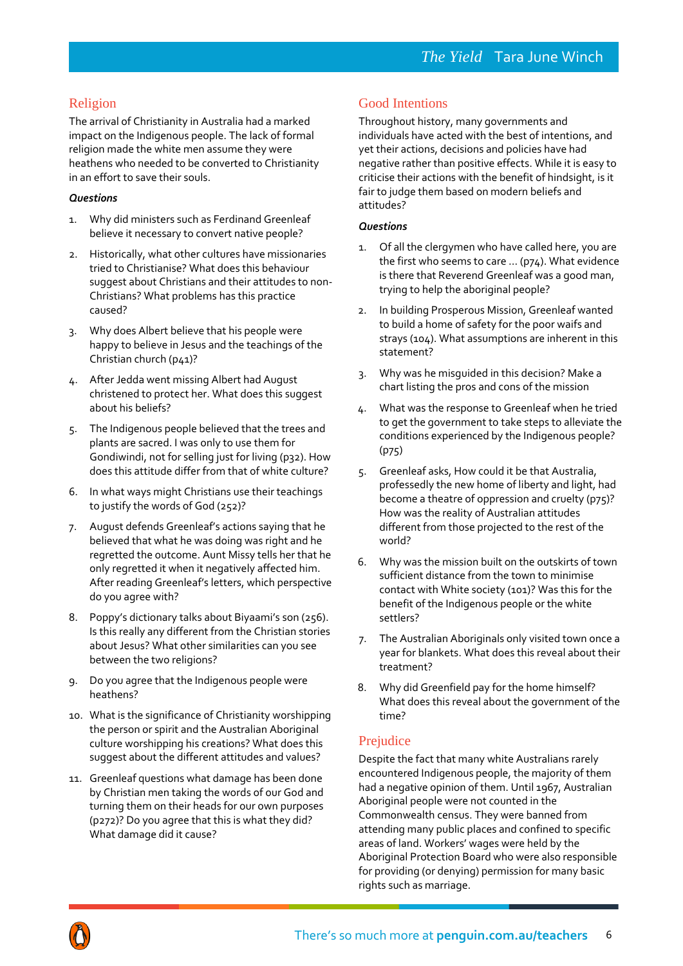## Religion

The arrival of Christianity in Australia had a marked impact on the Indigenous people. The lack of formal religion made the white men assume they were heathens who needed to be converted to Christianity in an effort to save their souls.

## *Questions*

- 1. Why did ministers such as Ferdinand Greenleaf believe it necessary to convert native people?
- 2. Historically, what other cultures have missionaries tried to Christianise? What does this behaviour suggest about Christians and their attitudes to non-Christians? What problems has this practice caused?
- 3. Why does Albert believe that his people were happy to believe in Jesus and the teachings of the Christian church (p41)?
- 4. After Jedda went missing Albert had August christened to protect her. What does this suggest about his beliefs?
- 5. The Indigenous people believed that the trees and plants are sacred. I was only to use them for Gondiwindi, not for selling just for living (p32). How does this attitude differ from that of white culture?
- 6. In what ways might Christians use their teachings to justify the words of God (252)?
- 7. August defends Greenleaf's actions saying that he believed that what he was doing was right and he regretted the outcome. Aunt Missy tells her that he only regretted it when it negatively affected him. After reading Greenleaf's letters, which perspective do you agree with?
- 8. Poppy's dictionary talks about Biyaami's son (256). Is this really any different from the Christian stories about Jesus? What other similarities can you see between the two religions?
- 9. Do you agree that the Indigenous people were heathens?
- 10. What is the significance of Christianity worshipping the person or spirit and the Australian Aboriginal culture worshipping his creations? What does this suggest about the different attitudes and values?
- 11. Greenleaf questions what damage has been done by Christian men taking the words of our God and turning them on their heads for our own purposes (p272)? Do you agree that this is what they did? What damage did it cause?

## Good Intentions

Throughout history, many governments and individuals have acted with the best of intentions, and yet their actions, decisions and policies have had negative rather than positive effects. While it is easy to criticise their actions with the benefit of hindsight, is it fair to judge them based on modern beliefs and attitudes?

#### *Questions*

- 1. Of all the clergymen who have called here, you are the first who seems to care … (p74). What evidence is there that Reverend Greenleaf was a good man, trying to help the aboriginal people?
- 2. In building Prosperous Mission, Greenleaf wanted to build a home of safety for the poor waifs and strays (104). What assumptions are inherent in this statement?
- 3. Why was he misguided in this decision? Make a chart listing the pros and cons of the mission
- 4. What was the response to Greenleaf when he tried to get the government to take steps to alleviate the conditions experienced by the Indigenous people? (p75)
- 5. Greenleaf asks, How could it be that Australia, professedly the new home of liberty and light, had become a theatre of oppression and cruelty (p75)? How was the reality of Australian attitudes different from those projected to the rest of the world?
- 6. Why was the mission built on the outskirts of town sufficient distance from the town to minimise contact with White society (101)? Was this for the benefit of the Indigenous people or the white settlers?
- 7. The Australian Aboriginals only visited town once a year for blankets. What does this reveal about their treatment?
- 8. Why did Greenfield pay for the home himself? What does this reveal about the government of the time?

## Prejudice

Despite the fact that many white Australians rarely encountered Indigenous people, the majority of them had a negative opinion of them. Until 1967, Australian Aboriginal people were not counted in the Commonwealth census. They were banned from attending many public places and confined to specific areas of land. Workers' wages were held by the Aboriginal Protection Board who were also responsible for providing (or denying) permission for many basic rights such as marriage.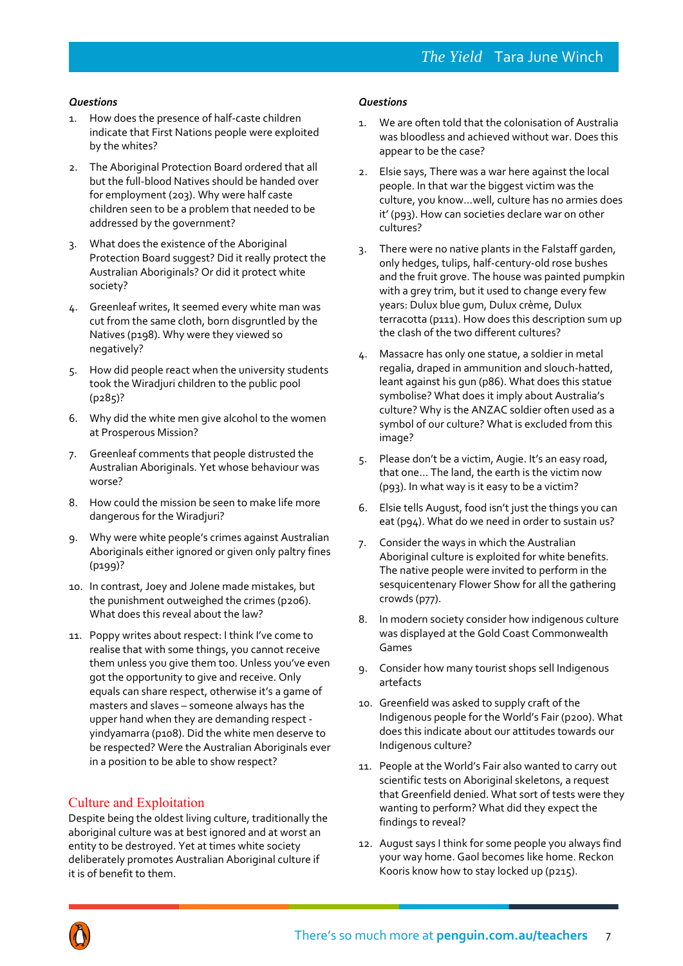#### *Questions*

- 1. How does the presence of half-caste children indicate that First Nations people were exploited by the whites?
- 2. The Aboriginal Protection Board ordered that all but the full-blood Natives should be handed over for employment (203). Why were half caste children seen to be a problem that needed to be addressed by the government?
- 3. What does the existence of the Aboriginal Protection Board suggest? Did it really protect the Australian Aboriginals? Or did it protect white society?
- 4. Greenleaf writes, It seemed every white man was cut from the same cloth, born disgruntled by the Natives (p198). Why were they viewed so negatively?
- 5. How did people react when the university students took the Wiradjuri children to the public pool (p285)?
- 6. Why did the white men give alcohol to the women at Prosperous Mission?
- 7. Greenleaf comments that people distrusted the Australian Aboriginals. Yet whose behaviour was worse?
- 8. How could the mission be seen to make life more dangerous for the Wiradjuri?
- 9. Why were white people's crimes against Australian Aboriginals either ignored or given only paltry fines (p199)?
- 10. In contrast, Joey and Jolene made mistakes, but the punishment outweighed the crimes (p206). What does this reveal about the law?
- 11. Poppy writes about respect: I think I've come to realise that with some things, you cannot receive them unless you give them too. Unless you've even got the opportunity to give and receive. Only equals can share respect, otherwise it's a game of masters and slaves – someone always has the upper hand when they are demanding respect yindyamarra (p108). Did the white men deserve to be respected? Were the Australian Aboriginals ever in a position to be able to show respect?

## Culture and Exploitation

Despite being the oldest living culture, traditionally the aboriginal culture was at best ignored and at worst an entity to be destroyed. Yet at times white society deliberately promotes Australian Aboriginal culture if it is of benefit to them.

- 1. We are often told that the colonisation of Australia was bloodless and achieved without war. Does this appear to be the case?
- 2. Elsie says, There was a war here against the local people. In that war the biggest victim was the culture, you know…well, culture has no armies does it' (p93). How can societies declare war on other cultures?
- 3. There were no native plants in the Falstaff garden, only hedges, tulips, half-century-old rose bushes and the fruit grove. The house was painted pumpkin with a grey trim, but it used to change every few years: Dulux blue gum, Dulux crème, Dulux terracotta (p111). How does this description sum up the clash of the two different cultures?
- 4. Massacre has only one statue, a soldier in metal regalia, draped in ammunition and slouch-hatted, leant against his gun (p86). What does this statue symbolise? What does it imply about Australia's culture? Why is the ANZAC soldier often used as a symbol of our culture? What is excluded from this image?
- 5. Please don't be a victim, Augie. It's an easy road, that one… The land, the earth is the victim now (p93). In what way is it easy to be a victim?
- 6. Elsie tells August, food isn't just the things you can eat (p94). What do we need in order to sustain us?
- 7. Consider the ways in which the Australian Aboriginal culture is exploited for white benefits. The native people were invited to perform in the sesquicentenary Flower Show for all the gathering crowds (p77).
- 8. In modern society consider how indigenous culture was displayed at the Gold Coast Commonwealth Games
- 9. Consider how many tourist shops sell Indigenous artefacts
- 10. Greenfield was asked to supply craft of the Indigenous people for the World's Fair (p200). What does this indicate about our attitudes towards our Indigenous culture?
- 11. People at the World's Fair also wanted to carry out scientific tests on Aboriginal skeletons, a request that Greenfield denied. What sort of tests were they wanting to perform? What did they expect the findings to reveal?
- 12. August says I think for some people you always find your way home. Gaol becomes like home. Reckon Kooris know how to stay locked up (p215).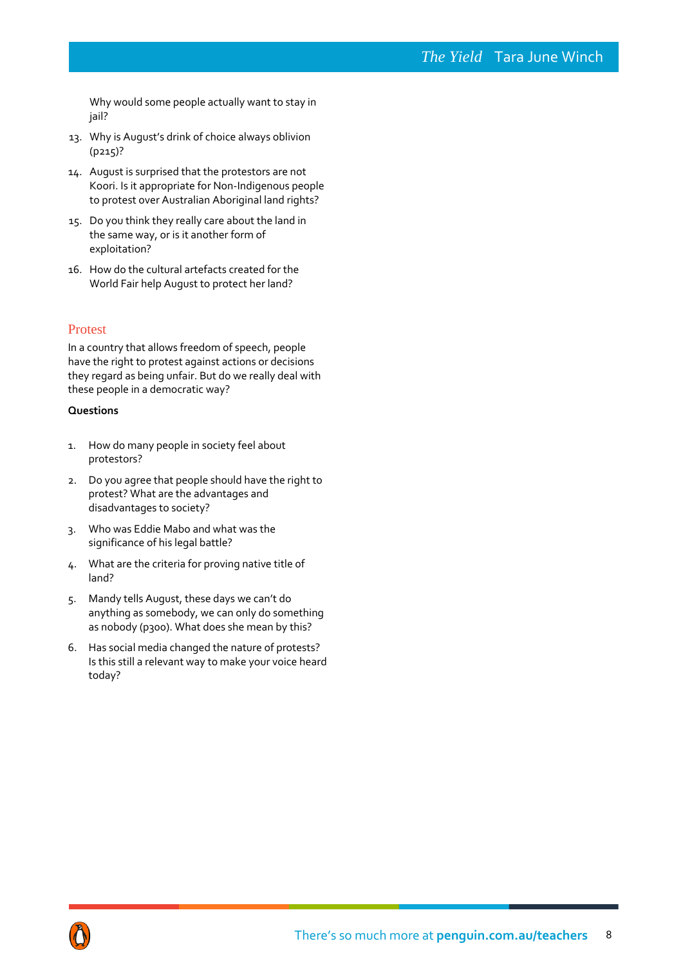Why would some people actually want to stay in jail?

- 13. Why is August's drink of choice always oblivion (p215)?
- 14. August is surprised that the protestors are not Koori. Is it appropriate for Non-Indigenous people to protest over Australian Aboriginal land rights?
- 15. Do you think they really care about the land in the same way, or is it another form of exploitation?
- 16. How do the cultural artefacts created for the World Fair help August to protect her land?

## Protest

In a country that allows freedom of speech, people have the right to protest against actions or decisions they regard as being unfair. But do we really deal with these people in a democratic way?

- 1. How do many people in society feel about protestors?
- 2. Do you agree that people should have the right to protest? What are the advantages and disadvantages to society?
- 3. Who was Eddie Mabo and what was the significance of his legal battle?
- 4. What are the criteria for proving native title of land?
- 5. Mandy tells August, these days we can't do anything as somebody, we can only do something as nobody (p300). What does she mean by this?
- 6. Has social media changed the nature of protests? Is this still a relevant way to make your voice heard today?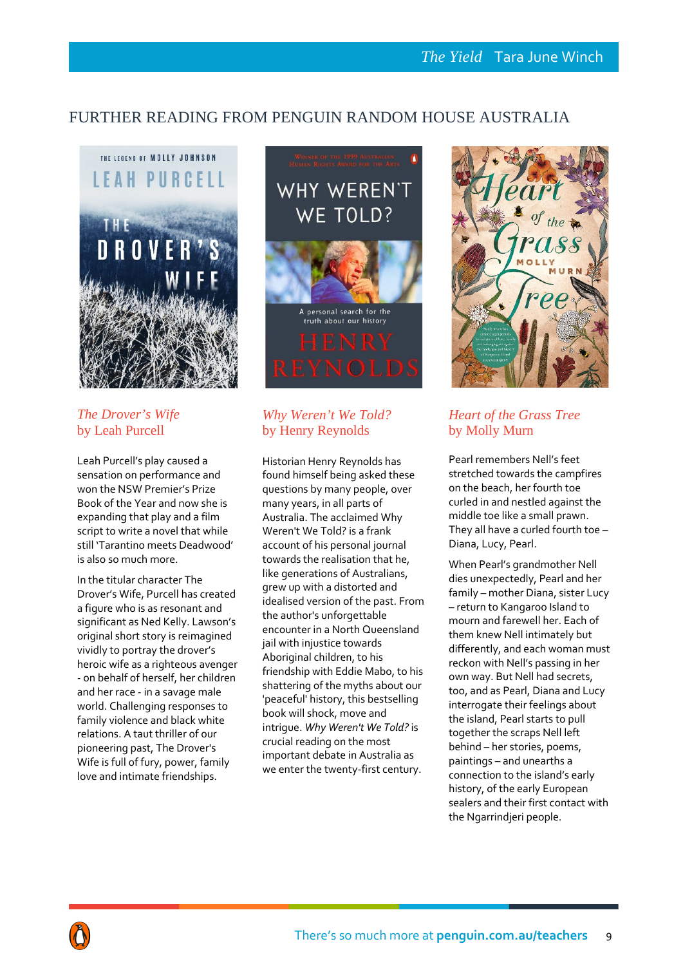# FURTHER READING FROM PENGUIN RANDOM HOUSE AUSTRALIA



# *The Drover's Wife* by Leah Purcell

Leah Purcell's play caused a sensation on performance and won the NSW Premier's Prize Book of the Year and now she is expanding that play and a film script to write a novel that while still 'Tarantino meets Deadwood' is also so much more.

In the titular character The Drover's Wife, Purcell has created a figure who is as resonant and significant as Ned Kelly. Lawson's original short story is reimagined vividly to portray the drover's heroic wife as a righteous avenger - on behalf of herself, her children and her race - in a savage male world. Challenging responses to family violence and black white relations. A taut thriller of our pioneering past, The Drover's Wife is full of fury, power, family love and intimate friendships.



# *Why Weren't We Told?*  by Henry Reynolds

Historian Henry Reynolds has found himself being asked these questions by many people, over many years, in all parts of Australia. The acclaimed Why Weren't We Told? is a frank account of his personal journal towards the realisation that he, like generations of Australians, grew up with a distorted and idealised version of the past. From the author's unforgettable encounter in a North Queensland jail with injustice towards Aboriginal children, to his friendship with Eddie Mabo, to his shattering of the myths about our 'peaceful' history, this bestselling book will shock, move and intrigue. *Why Weren't We Told?* is crucial reading on the most important debate in Australia as we enter the twenty-first century.



# *Heart of the Grass Tree* by Molly Murn

Pearl remembers Nell's feet stretched towards the campfires on the beach, her fourth toe curled in and nestled against the middle toe like a small prawn. They all have a curled fourth toe – Diana, Lucy, Pearl.

When Pearl's grandmother Nell dies unexpectedly, Pearl and her family – mother Diana, sister Lucy – return to Kangaroo Island to mourn and farewell her. Each of them knew Nell intimately but differently, and each woman must reckon with Nell's passing in her own way. But Nell had secrets, too, and as Pearl, Diana and Lucy interrogate their feelings about the island, Pearl starts to pull together the scraps Nell left behind – her stories, poems, paintings – and unearths a connection to the island's early history, of the early European sealers and their first contact with the Ngarrindjeri people.